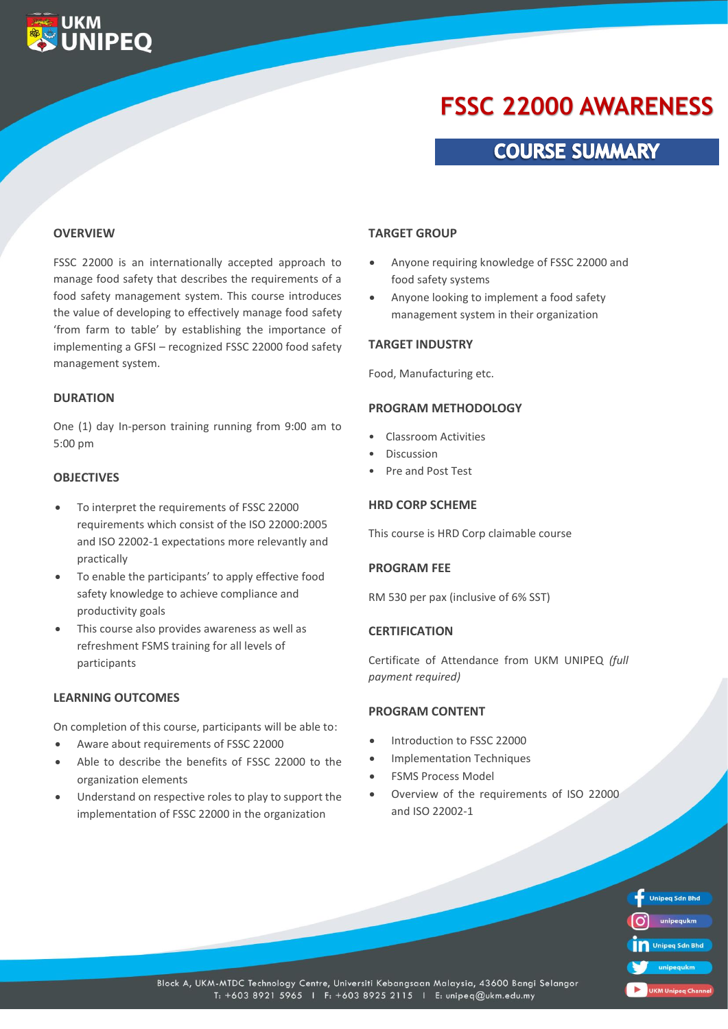# **FSSC 22000 AWARENESS**

### **COURSE SUMMARY**

#### **OVERVIEW**

**UKM**<br>**UNIPEQ** 

FSSC 22000 is an internationally accepted approach to manage food safety that describes the requirements of a food safety management system. This course introduces the value of developing to effectively manage food safety 'from farm to table' by establishing the importance of implementing a GFSI – recognized FSSC 22000 food safety management system.

#### **DURATION**

One (1) day In-person training running from 9:00 am to 5:00 pm

#### **OBJECTIVES**

- To interpret the requirements of FSSC 22000 requirements which consist of the ISO 22000:2005 and ISO 22002-1 expectations more relevantly and practically
- To enable the participants' to apply effective food safety knowledge to achieve compliance and productivity goals
- This course also provides awareness as well as refreshment FSMS training for all levels of participants

#### **LEARNING OUTCOMES**

On completion of this course, participants will be able to:

- Aware about requirements of FSSC 22000
- Able to describe the benefits of FSSC 22000 to the organization elements
- Understand on respective roles to play to support the implementation of FSSC 22000 in the organization

#### **TARGET GROUP**

- Anyone requiring knowledge of FSSC 22000 and food safety systems
- Anyone looking to implement a food safety management system in their organization

#### **TARGET INDUSTRY**

Food, Manufacturing etc.

#### **PROGRAM METHODOLOGY**

- Classroom Activities
- Discussion
- Pre and Post Test

#### **HRD CORP SCHEME**

This course is HRD Corp claimable course

#### **PROGRAM FEE**

RM 530 per pax (inclusive of 6% SST)

#### **CERTIFICATION**

Certificate of Attendance from UKM UNIPEQ *(full payment required)*

#### **PROGRAM CONTENT**

- Introduction to FSSC 22000
- Implementation Techniques
- FSMS Process Model
- Overview of the requirements of ISO 22000 and ISO 22002-1

**Unipeq Sdn Bhd** unipegukm **Unipeg Sdn Bhd UKM Unipeg Cha** 

Block A, UKM-MTDC Technology Centre, Universiti Kebangsaan Malaysia, 43600 Bangi Selangor T: +603 8921 5965 | F: +603 8925 2115 | E: unipeq@ukm.edu.my